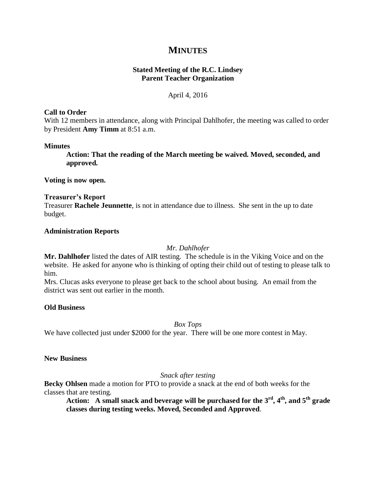# **MINUTES**

# **Stated Meeting of the R.C. Lindsey Parent Teacher Organization**

## April 4, 2016

#### **Call to Order**

With 12 members in attendance, along with Principal Dahlhofer, the meeting was called to order by President **Amy Timm** at 8:51 a.m.

#### **Minutes**

**Action: That the reading of the March meeting be waived. Moved, seconded, and approved.**

**Voting is now open.**

#### **Treasurer's Report**

Treasurer **Rachele Jeunnette**, is not in attendance due to illness. She sent in the up to date budget.

#### **Administration Reports**

## *Mr. Dahlhofer*

**Mr. Dahlhofer** listed the dates of AIR testing. The schedule is in the Viking Voice and on the website. He asked for anyone who is thinking of opting their child out of testing to please talk to him.

Mrs. Clucas asks everyone to please get back to the school about busing. An email from the district was sent out earlier in the month.

## **Old Business**

*Box Tops*

We have collected just under \$2000 for the year. There will be one more contest in May.

## **New Business**

## *Snack after testing*

**Becky Ohlsen** made a motion for PTO to provide a snack at the end of both weeks for the classes that are testing.

**Action:** A small snack and beverage will be purchased for the  $3<sup>rd</sup>$ ,  $4<sup>th</sup>$ , and  $5<sup>th</sup>$  grade **classes during testing weeks. Moved, Seconded and Approved**.